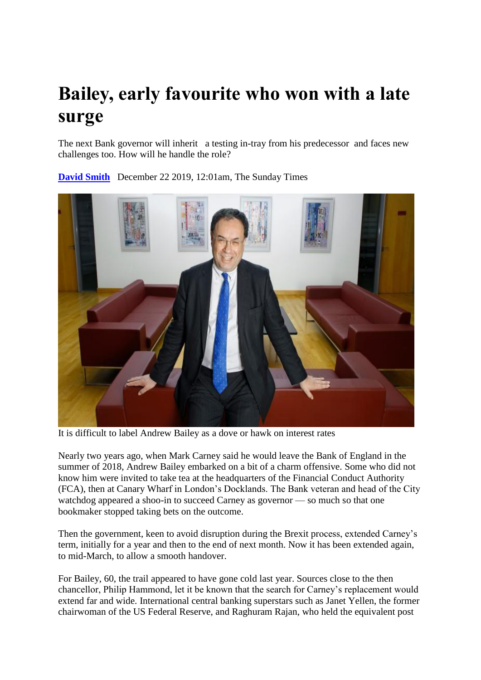## **Bailey, early favourite who won with a late surge**

The next Bank governor will inherit a testing in-tray from his predecessor and faces new challenges too. How will he handle the role?



**[David Smith](https://www.thetimes.co.uk/profile/david-smith)** December 22 2019, 12:01am, The Sunday Times

It is difficult to label Andrew Bailey as a dove or hawk on interest rates

Nearly two years ago, when Mark Carney said he would leave the Bank of England in the summer of 2018, Andrew Bailey embarked on a bit of a charm offensive. Some who did not know him were invited to take tea at the headquarters of the Financial Conduct Authority (FCA), then at Canary Wharf in London's Docklands. The Bank veteran and head of the City watchdog appeared a shoo-in to succeed Carney as governor — so much so that one bookmaker stopped taking bets on the outcome.

Then the government, keen to avoid disruption during the Brexit process, extended Carney's term, initially for a year and then to the end of next month. Now it has been extended again, to mid-March, to allow a smooth handover.

For Bailey, 60, the trail appeared to have gone cold last year. Sources close to the then chancellor, Philip Hammond, let it be known that the search for Carney's replacement would extend far and wide. International central banking superstars such as Janet Yellen, the former chairwoman of the US Federal Reserve, and Raghuram Rajan, who held the equivalent post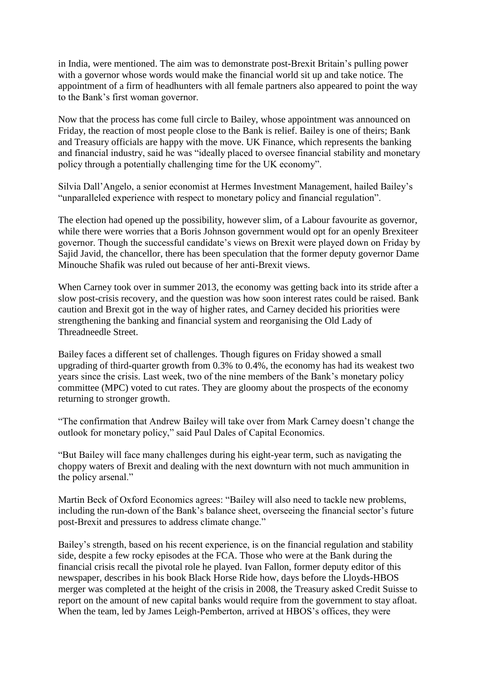in India, were mentioned. The aim was to demonstrate post-Brexit Britain's pulling power with a governor whose words would make the financial world sit up and take notice. The appointment of a firm of headhunters with all female partners also appeared to point the way to the Bank's first woman governor.

Now that the process has come full circle to Bailey, whose appointment was announced on Friday, the reaction of most people close to the Bank is relief. Bailey is one of theirs; Bank and Treasury officials are happy with the move. UK Finance, which represents the banking and financial industry, said he was "ideally placed to oversee financial stability and monetary policy through a potentially challenging time for the UK economy".

Silvia Dall'Angelo, a senior economist at Hermes Investment Management, hailed Bailey's "unparalleled experience with respect to monetary policy and financial regulation".

The election had opened up the possibility, however slim, of a Labour favourite as governor, while there were worries that a Boris Johnson government would opt for an openly Brexiteer governor. Though the successful candidate's views on Brexit were played down on Friday by Sajid Javid, the chancellor, there has been speculation that the former deputy governor Dame Minouche Shafik was ruled out because of her anti-Brexit views.

When Carney took over in summer 2013, the economy was getting back into its stride after a slow post-crisis recovery, and the question was how soon interest rates could be raised. Bank caution and Brexit got in the way of higher rates, and Carney decided his priorities were strengthening the banking and financial system and reorganising the Old Lady of Threadneedle Street.

Bailey faces a different set of challenges. Though figures on Friday showed a small upgrading of third-quarter growth from 0.3% to 0.4%, the economy has had its weakest two years since the crisis. Last week, two of the nine members of the Bank's monetary policy committee (MPC) voted to cut rates. They are gloomy about the prospects of the economy returning to stronger growth.

"The confirmation that Andrew Bailey will take over from Mark Carney doesn't change the outlook for monetary policy," said Paul Dales of Capital Economics.

"But Bailey will face many challenges during his eight-year term, such as navigating the choppy waters of Brexit and dealing with the next downturn with not much ammunition in the policy arsenal."

Martin Beck of Oxford Economics agrees: "Bailey will also need to tackle new problems, including the run-down of the Bank's balance sheet, overseeing the financial sector's future post-Brexit and pressures to address climate change."

Bailey's strength, based on his recent experience, is on the financial regulation and stability side, despite a few rocky episodes at the FCA. Those who were at the Bank during the financial crisis recall the pivotal role he played. Ivan Fallon, former deputy editor of this newspaper, describes in his book Black Horse Ride how, days before the Lloyds-HBOS merger was completed at the height of the crisis in 2008, the Treasury asked Credit Suisse to report on the amount of new capital banks would require from the government to stay afloat. When the team, led by James Leigh-Pemberton, arrived at HBOS's offices, they were